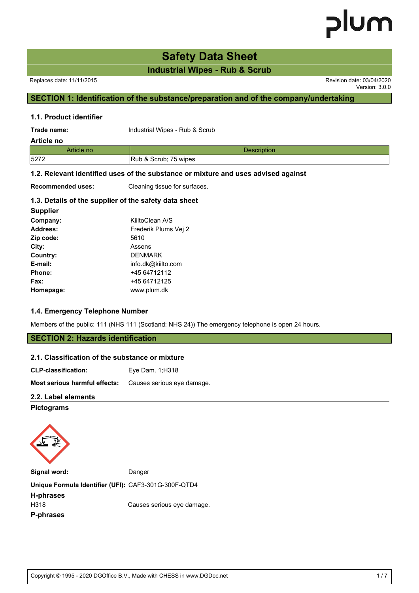# **Safety Data Sheet**

**Industrial Wipes - Rub & Scrub**

Version: 3.0.0

## **SECTION 1: Identification of the substance/preparation and of the company/undertaking**

#### **1.1. Product identifier**

| Trade name: | Industrial Wipes - Rub & Scrub |  |
|-------------|--------------------------------|--|
| Article no  |                                |  |
| Article no  | <b>Description</b>             |  |
| 5272        | Rub & Scrub; 75 wipes          |  |

#### **1.2. Relevant identified uses of the substance or mixture and uses advised against**

**Recommended uses:** Cleaning tissue for surfaces.

#### **1.3. Details of the supplier of the safety data sheet**

| <b>Supplier</b> |                      |
|-----------------|----------------------|
| Company:        | KiiltoClean A/S      |
| Address:        | Frederik Plums Vei 2 |
| Zip code:       | 5610                 |
| City:           | Assens               |
| Country:        | <b>DENMARK</b>       |
| E-mail:         | info.dk@kiilto.com   |
| <b>Phone:</b>   | +45 64712112         |
| Fax:            | +45 64712125         |
| Homepage:       | www.plum.dk          |

#### **1.4. Emergency Telephone Number**

Members of the public: 111 (NHS 111 (Scotland: NHS 24)) The emergency telephone is open 24 hours.

## **SECTION 2: Hazards identification**

| 2.1. Classification of the substance or mixture                 |                 |  |
|-----------------------------------------------------------------|-----------------|--|
| <b>CLP-classification:</b>                                      | Eye Dam. 1:H318 |  |
| <b>Most serious harmful effects:</b> Causes serious eye damage. |                 |  |
| 2.2. Label elements                                             |                 |  |
|                                                                 |                 |  |

#### **Pictograms**



Signal word: Danger

**Unique Formula Identifier (UFI):** CAF3-301G-300F-QTD4

**H-phrases P-phrases**

H318 Causes serious eye damage.

Copyright © 1995 - 2020 DGOffice B.V., Made with CHESS in www.DGDoc.net 1 / 7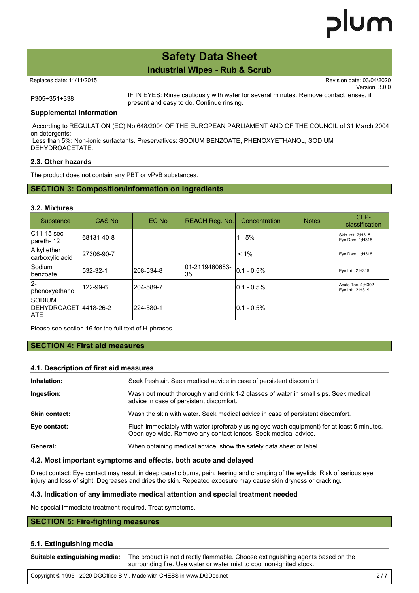# **Safety Data Sheet**

## **Industrial Wipes - Rub & Scrub**

Replaces date: 11/11/2015 Revision date: 03/04/2020

Version: 3.0.0

P305+351+338 IF IN EYES: Rinse cautiously with water for several minutes. Remove contact lenses, if present and easy to do. Continue rinsing.

#### **Supplemental information**

 According to REGULATION (EC) No 648/2004 OF THE EUROPEAN PARLIAMENT AND OF THE COUNCIL of 31 March 2004 on detergents:

 Less than 5%: Non-ionic surfactants. Preservatives: SODIUM BENZOATE, PHENOXYETHANOL, SODIUM DEHYDROACETATE.

#### **2.3. Other hazards**

The product does not contain any PBT or vPvB substances.

### **SECTION 3: Composition/information on ingredients**

#### **3.2. Mixtures**

| Substance                                         | CAS No     | EC No     | REACH Reg. No.         | Concentration   | <b>Notes</b> | CLP-<br>classification                  |
|---------------------------------------------------|------------|-----------|------------------------|-----------------|--------------|-----------------------------------------|
| $ C11-15$ sec-<br>pareth-12                       | 68131-40-8 |           |                        | $1 - 5%$        |              | Skin Irrit. 2;H315<br>Eye Dam. 1;H318   |
| Alkyl ether<br>carboxylic acid                    | 27306-90-7 |           |                        | $< 1\%$         |              | Eye Dam. 1;H318                         |
| <b>Sodium</b><br>lbenzoate                        | 532-32-1   | 208-534-8 | 101-2119460683-<br>135 | $0.1 - 0.5\%$   |              | Eye Irrit. 2;H319                       |
| I <sub>2-</sub><br>phenoxyethanol                 | 122-99-6   | 204-589-7 |                        | $ 0.1 - 0.5\% $ |              | Acute Tox. 4; H302<br>Eye Irrit. 2;H319 |
| isodium<br>IDEHYDROACET  4418-26-2<br><b>IATE</b> |            | 224-580-1 |                        | $0.1 - 0.5\%$   |              |                                         |

Please see section 16 for the full text of H-phrases.

### **SECTION 4: First aid measures**

#### **4.1. Description of first aid measures**

| Inhalation:   | Seek fresh air. Seek medical advice in case of persistent discomfort.                                                                                        |
|---------------|--------------------------------------------------------------------------------------------------------------------------------------------------------------|
| Ingestion:    | Wash out mouth thoroughly and drink 1-2 glasses of water in small sips. Seek medical<br>advice in case of persistent discomfort.                             |
| Skin contact: | Wash the skin with water. Seek medical advice in case of persistent discomfort.                                                                              |
| Eye contact:  | Flush immediately with water (preferably using eye wash equipment) for at least 5 minutes.<br>Open eye wide. Remove any contact lenses. Seek medical advice. |
| General:      | When obtaining medical advice, show the safety data sheet or label.                                                                                          |
|               |                                                                                                                                                              |

#### **4.2. Most important symptoms and effects, both acute and delayed**

Direct contact: Eye contact may result in deep caustic burns, pain, tearing and cramping of the eyelids. Risk of serious eye injury and loss of sight. Degreases and dries the skin. Repeated exposure may cause skin dryness or cracking.

#### **4.3. Indication of any immediate medical attention and special treatment needed**

No special immediate treatment required. Treat symptoms.

#### **SECTION 5: Fire-fighting measures**

#### **5.1. Extinguishing media**

**Suitable extinguishing media:** The product is not directly flammable. Choose extinguishing agents based on the surrounding fire. Use water or water mist to cool non-ignited stock.

Copyright © 1995 - 2020 DGOffice B.V., Made with CHESS in www.DGDoc.net 2 / 7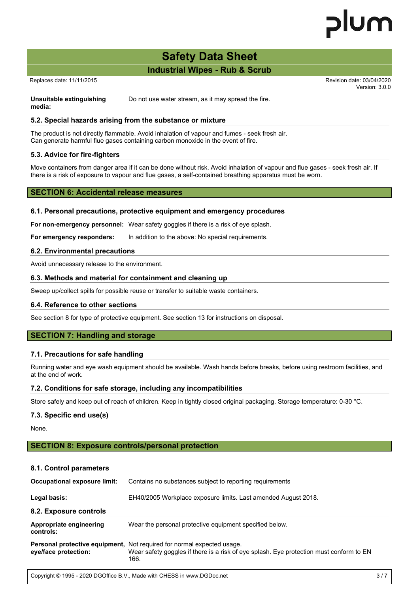# **Safety Data Sheet**

## **Industrial Wipes - Rub & Scrub**

Replaces date: 11/11/2015 Revision date: 03/04/2020

**media:**

Version: 3.0.0

**Unsuitable extinguishing** Do not use water stream, as it may spread the fire.

### **5.2. Special hazards arising from the substance or mixture**

The product is not directly flammable. Avoid inhalation of vapour and fumes - seek fresh air. Can generate harmful flue gases containing carbon monoxide in the event of fire.

#### **5.3. Advice for fire-fighters**

Move containers from danger area if it can be done without risk. Avoid inhalation of vapour and flue gases - seek fresh air. If there is a risk of exposure to vapour and flue gases, a self-contained breathing apparatus must be worn.

#### **SECTION 6: Accidental release measures**

#### **6.1. Personal precautions, protective equipment and emergency procedures**

**For non-emergency personnel:** Wear safety goggles if there is a risk of eye splash.

**For emergency responders:** In addition to the above: No special requirements.

#### **6.2. Environmental precautions**

Avoid unnecessary release to the environment.

#### **6.3. Methods and material for containment and cleaning up**

Sweep up/collect spills for possible reuse or transfer to suitable waste containers.

#### **6.4. Reference to other sections**

See section 8 for type of protective equipment. See section 13 for instructions on disposal.

### **SECTION 7: Handling and storage**

#### **7.1. Precautions for safe handling**

Running water and eye wash equipment should be available. Wash hands before breaks, before using restroom facilities, and at the end of work.

#### **7.2. Conditions for safe storage, including any incompatibilities**

Store safely and keep out of reach of children. Keep in tightly closed original packaging. Storage temperature: 0-30 °C.

#### **7.3. Specific end use(s)**

None.

#### **SECTION 8: Exposure controls/personal protection**

#### **8.1. Control parameters**

| Occupational exposure limit:         | Contains no substances subject to reporting requirements                                                                                                                         |  |  |
|--------------------------------------|----------------------------------------------------------------------------------------------------------------------------------------------------------------------------------|--|--|
| Legal basis:                         | EH40/2005 Workplace exposure limits. Last amended August 2018.                                                                                                                   |  |  |
| 8.2. Exposure controls               |                                                                                                                                                                                  |  |  |
| Appropriate engineering<br>controls: | Wear the personal protective equipment specified below.                                                                                                                          |  |  |
| eye/face protection:                 | <b>Personal protective equipment, Not required for normal expected usage.</b><br>Wear safety goggles if there is a risk of eye splash. Eye protection must conform to EN<br>166. |  |  |
|                                      |                                                                                                                                                                                  |  |  |

Copyright © 1995 - 2020 DGOffice B.V., Made with CHESS in www.DGDoc.net 3 / 7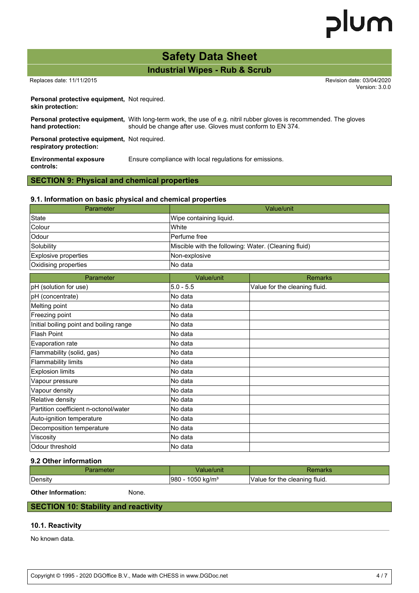# plum

# **Safety Data Sheet**

**Industrial Wipes - Rub & Scrub**

 Replaces date: 11/11/2015 Revision date: 03/04/2020 Version: 3.0.0

**Personal protective equipment,** Not required. **skin protection:**

| hand protection:                                                        | <b>Personal protective equipment.</b> With long-term work, the use of e.g. nitril rubber gloves is recommended. The gloves<br>should be change after use. Gloves must conform to EN 374. |
|-------------------------------------------------------------------------|------------------------------------------------------------------------------------------------------------------------------------------------------------------------------------------|
| Personal protective equipment, Not required.<br>respiratory protection: |                                                                                                                                                                                          |

**Environmental exposure controls:** Ensure compliance with local regulations for emissions.

### **SECTION 9: Physical and chemical properties**

#### **9.1. Information on basic physical and chemical properties**

| Parameter                               |                                                      | Value/unit                    |  |
|-----------------------------------------|------------------------------------------------------|-------------------------------|--|
| <b>State</b>                            | Wipe containing liquid.                              |                               |  |
| Colour                                  | White                                                |                               |  |
| Odour                                   | Perfume free                                         |                               |  |
| Solubility                              | Miscible with the following: Water. (Cleaning fluid) |                               |  |
| Explosive properties                    | Non-explosive                                        |                               |  |
| Oxidising properties                    | No data                                              |                               |  |
| Parameter                               | Value/unit                                           | <b>Remarks</b>                |  |
| pH (solution for use)                   | $5.0 - 5.5$                                          | Value for the cleaning fluid. |  |
| pH (concentrate)                        | No data                                              |                               |  |
| Melting point                           | No data                                              |                               |  |
| Freezing point                          | No data                                              |                               |  |
| Initial boiling point and boiling range | No data                                              |                               |  |
| <b>Flash Point</b>                      | No data                                              |                               |  |
| Evaporation rate                        | No data                                              |                               |  |
| Flammability (solid, gas)               | No data                                              |                               |  |
| <b>Flammability limits</b>              | No data                                              |                               |  |
| <b>Explosion limits</b>                 | No data                                              |                               |  |
| Vapour pressure                         | No data                                              |                               |  |
| Vapour density                          | No data                                              |                               |  |
| Relative density                        | No data                                              |                               |  |
| Partition coefficient n-octonol/water   | No data                                              |                               |  |
| Auto-ignition temperature               | No data                                              |                               |  |
| Decomposition temperature               | No data                                              |                               |  |
| Viscosity                               | No data                                              |                               |  |
| Odour threshold                         | No data                                              |                               |  |

#### **9.2 Other information**

| aramete | alue/unit                      | Remarks                       |
|---------|--------------------------------|-------------------------------|
| Density | 1050 kg/m <sup>3</sup><br>1980 | Value for the cleaning fluid. |

**Other Information:** None.

**SECTION 10: Stability and reactivity**

#### **10.1. Reactivity**

No known data.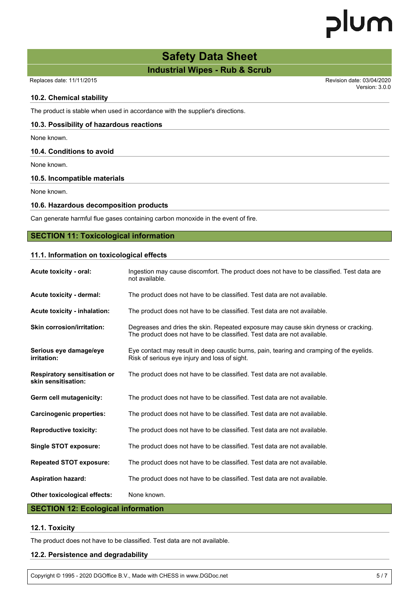# plum

# **Safety Data Sheet**

## **Industrial Wipes - Rub & Scrub**

#### Replaces date: 11/11/2015 Revision date: 03/04/2020

Version: 3.0.0

#### **10.2. Chemical stability**

The product is stable when used in accordance with the supplier's directions.

#### **10.3. Possibility of hazardous reactions**

None known.

#### **10.4. Conditions to avoid**

None known.

#### **10.5. Incompatible materials**

None known.

#### **10.6. Hazardous decomposition products**

Can generate harmful flue gases containing carbon monoxide in the event of fire.

#### **SECTION 11: Toxicological information**

#### **11.1. Information on toxicological effects**

| Acute toxicity - oral:                                     | Ingestion may cause discomfort. The product does not have to be classified. Test data are<br>not available.                                                     |  |
|------------------------------------------------------------|-----------------------------------------------------------------------------------------------------------------------------------------------------------------|--|
| Acute toxicity - dermal:                                   | The product does not have to be classified. Test data are not available.                                                                                        |  |
| Acute toxicity - inhalation:                               | The product does not have to be classified. Test data are not available.                                                                                        |  |
| <b>Skin corrosion/irritation:</b>                          | Degreases and dries the skin. Repeated exposure may cause skin dryness or cracking.<br>The product does not have to be classified. Test data are not available. |  |
| Serious eye damage/eye<br>irritation:                      | Eye contact may result in deep caustic burns, pain, tearing and cramping of the eyelids.<br>Risk of serious eve injury and loss of sight.                       |  |
| <b>Respiratory sensitisation or</b><br>skin sensitisation: | The product does not have to be classified. Test data are not available.                                                                                        |  |
| Germ cell mutagenicity:                                    | The product does not have to be classified. Test data are not available.                                                                                        |  |
| Carcinogenic properties:                                   | The product does not have to be classified. Test data are not available.                                                                                        |  |
| <b>Reproductive toxicity:</b>                              | The product does not have to be classified. Test data are not available.                                                                                        |  |
| Single STOT exposure:                                      | The product does not have to be classified. Test data are not available.                                                                                        |  |
| <b>Repeated STOT exposure:</b>                             | The product does not have to be classified. Test data are not available.                                                                                        |  |
| <b>Aspiration hazard:</b>                                  | The product does not have to be classified. Test data are not available.                                                                                        |  |
| Other toxicological effects:                               | None known.                                                                                                                                                     |  |

## **SECTION 12: Ecological information**

#### **12.1. Toxicity**

The product does not have to be classified. Test data are not available.

#### **12.2. Persistence and degradability**

Copyright © 1995 - 2020 DGOffice B.V., Made with CHESS in www.DGDoc.net 5 / 7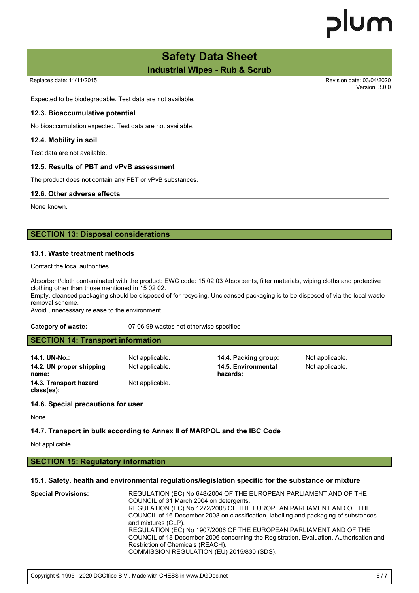# **Safety Data Sheet**

**Industrial Wipes - Rub & Scrub**

Version: 3.0.0

Expected to be biodegradable. Test data are not available.

#### **12.3. Bioaccumulative potential**

No bioaccumulation expected. Test data are not available.

#### **12.4. Mobility in soil**

Test data are not available.

#### **12.5. Results of PBT and vPvB assessment**

The product does not contain any PBT or vPvB substances.

#### **12.6. Other adverse effects**

None known.

#### **SECTION 13: Disposal considerations**

#### **13.1. Waste treatment methods**

Contact the local authorities.

Absorbent/cloth contaminated with the product: EWC code: 15 02 03 Absorbents, filter materials, wiping cloths and protective clothing other than those mentioned in 15 02 02.

Empty, cleansed packaging should be disposed of for recycling. Uncleansed packaging is to be disposed of via the local wasteremoval scheme.

Avoid unnecessary release to the environment.

#### **Category of waste:** 07 06 99 wastes not otherwise specified

#### **SECTION 14: Transport information**

**14.1. UN-No.:** Not applicable. **14.4. Packing group:** Not applicable. **14.2. UN proper shipping name: 14.3. Transport hazard class(es):**

Not applicable.

Not applicable. **14.5. Environmental hazards:**

Not applicable.

#### **14.6. Special precautions for user**

None.

#### **14.7. Transport in bulk according to Annex II of MARPOL and the IBC Code**

Not applicable.

#### **SECTION 15: Regulatory information**

#### **15.1. Safety, health and environmental regulations/legislation specific for the substance or mixture**

| and mixtures (CLP).<br>REGULATION (EC) No 1907/2006 OF THE EUROPEAN PARLIAMENT AND OF THE<br>Restriction of Chemicals (REACH).<br>COMMISSION REGULATION (EU) 2015/830 (SDS). | <b>Special Provisions:</b> | REGULATION (EC) No 648/2004 OF THE EUROPEAN PARLIAMENT AND OF THE<br>COUNCIL of 31 March 2004 on detergents.<br>REGULATION (EC) No 1272/2008 OF THE EUROPEAN PARLIAMENT AND OF THE<br>COUNCIL of 16 December 2008 on classification, labelling and packaging of substances<br>COUNCIL of 18 December 2006 concerning the Registration, Evaluation, Authorisation and |
|------------------------------------------------------------------------------------------------------------------------------------------------------------------------------|----------------------------|----------------------------------------------------------------------------------------------------------------------------------------------------------------------------------------------------------------------------------------------------------------------------------------------------------------------------------------------------------------------|
|------------------------------------------------------------------------------------------------------------------------------------------------------------------------------|----------------------------|----------------------------------------------------------------------------------------------------------------------------------------------------------------------------------------------------------------------------------------------------------------------------------------------------------------------------------------------------------------------|